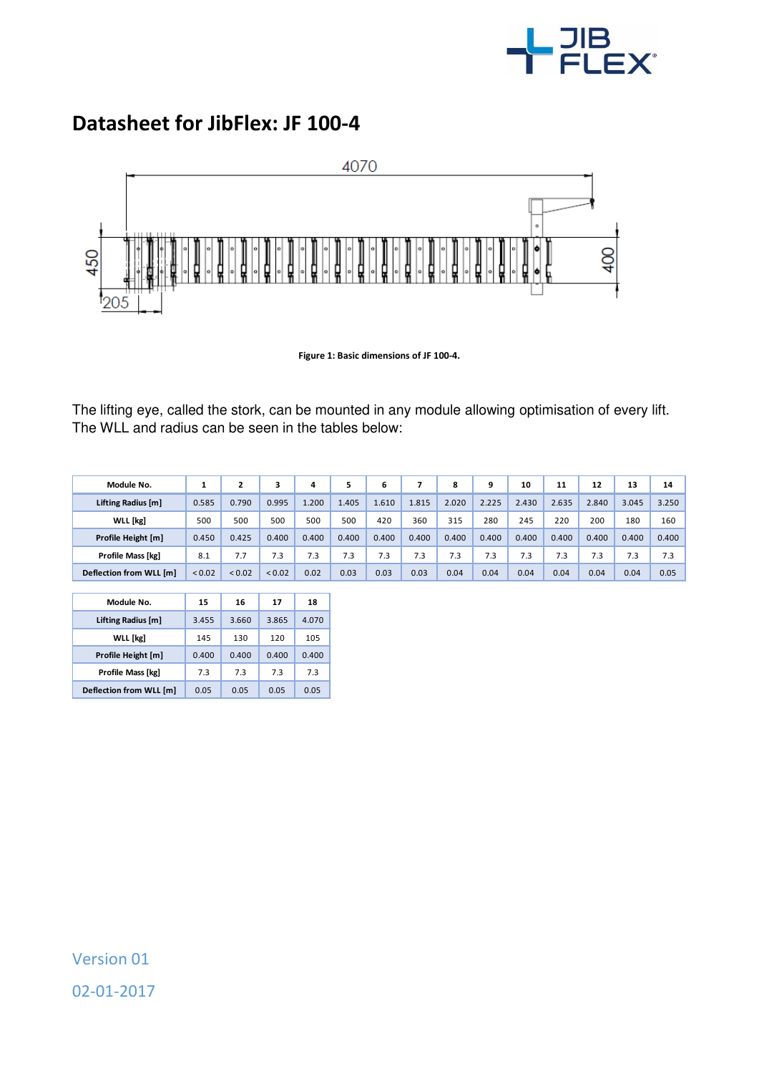

## **Datasheet for JibFlex: JF 100-4**



**Figure 1: Basic dimensions of JF 100-4.** 

The lifting eye, called the stork, can be mounted in any module allowing optimisation of every lift. The WLL and radius can be seen in the tables below:

| Module No.              | л.     |             |             | 4     | 5     | 6     |       | 8     | 9     | 10    | 11    | 12    | 13    | 14    |
|-------------------------|--------|-------------|-------------|-------|-------|-------|-------|-------|-------|-------|-------|-------|-------|-------|
| Lifting Radius [m]      | 0.585  | 0.790       | 0.995       | .200  | 1.405 | 1.610 | 1.815 | 2.020 | 2.225 | 2.430 | 2.635 | 2.840 | 3.045 | 3.250 |
| <b>WLL</b> [kg]         | 500    | 500         | 500         | 500   | 500   | 420   | 360   | 315   | 280   | 245   | 220   | 200   | 180   | 160   |
| Profile Height [m]      | 0.450  | 0.425       | 0.400       | 0.400 | 0.400 | 0.400 | 0.400 | 0.400 | 0.400 | 0.400 | 0.400 | 0.400 | 0.400 | 0.400 |
| Profile Mass [kg]       | 8.1    | 7.7         | 7.3         | 7.3   | 7.3   | 7.3   | 7.3   | 7.3   | 7.3   | 7.3   | 7.3   | 7.3   | 7.3   | 7.3   |
| Deflection from WLL [m] | < 0.02 | ${}_{0.02}$ | ${}_{0.02}$ | 0.02  | 0.03  | 0.03  | 0.03  | 0.04  | 0.04  | 0.04  | 0.04  | 0.04  | 0.04  | 0.05  |

| Module No.              | 15    | 16    | 17    | 18    |
|-------------------------|-------|-------|-------|-------|
| Lifting Radius [m]      | 3.455 | 3.660 | 3.865 | 4.070 |
| <b>WLL</b> [kg]         | 145   | 130   | 120   | 105   |
| Profile Height [m]      | 0.400 | 0.400 | 0.400 | 0.400 |
| Profile Mass [kg]       | 7.3   | 7.3   | 7.3   | 7.3   |
| Deflection from WLL [m] | 0.05  | 0.05  | 0.05  | 0.05  |

Version 01 02-01-2017